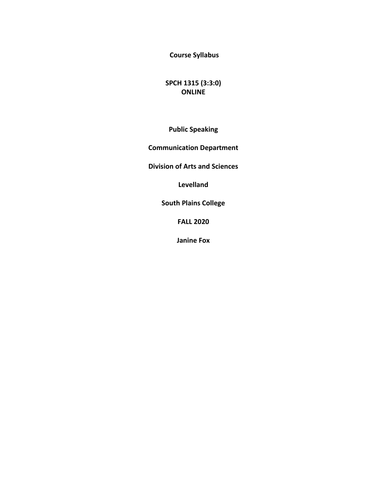**Course Syllabus** 

**SPCH 1315 (3:3:0) ONLINE**

**Public Speaking**

**Communication Department** 

**Division of Arts and Sciences** 

**Levelland**

**South Plains College** 

**FALL 2020**

**Janine Fox**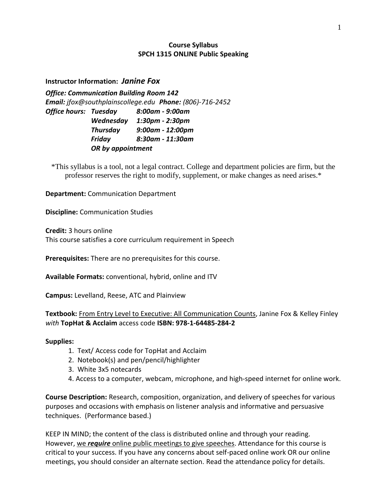# **Course Syllabus SPCH 1315 ONLINE Public Speaking**

## **Instructor Information:** *Janine Fox*

*Office: Communication Building Room 142 Email: jfox@southplainscollege.edu Phone: (806)-716-2452 Office hours: Tuesday 8:00am - 9:00am Wednesday 1:30pm - 2:30pm Thursday 9:00am - 12:00pm Friday 8:30am - 11:30am OR by appointment*

\*This syllabus is a tool, not a legal contract. College and department policies are firm, but the professor reserves the right to modify, supplement, or make changes as need arises.\*

**Department:** Communication Department

**Discipline:** Communication Studies

**Credit:** 3 hours online This course satisfies a core curriculum requirement in Speech

**Prerequisites:** There are no prerequisites for this course.

**Available Formats:** conventional, hybrid, online and ITV

**Campus:** Levelland, Reese, ATC and Plainview

**Textbook:** From Entry Level to Executive: All Communication Counts, Janine Fox & Kelley Finley *with* **TopHat & Acclaim** access code **ISBN: 978-1-64485-284-2**

#### **Supplies:**

- 1. Text/ Access code for TopHat and Acclaim
- 2. Notebook(s) and pen/pencil/highlighter
- 3. White 3x5 notecards
- 4. Access to a computer, webcam, microphone, and high-speed internet for online work.

**Course Description:** Research, composition, organization, and delivery of speeches for various purposes and occasions with emphasis on listener analysis and informative and persuasive techniques. (Performance based.)

KEEP IN MIND; the content of the class is distributed online and through your reading. However, we *require* online public meetings to give speeches. Attendance for this course is critical to your success. If you have any concerns about self-paced online work OR our online meetings, you should consider an alternate section. Read the attendance policy for details.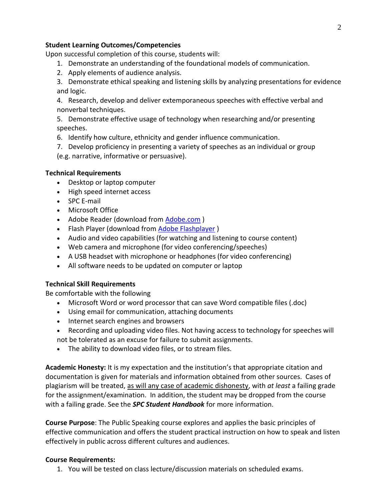## **Student Learning Outcomes/Competencies**

Upon successful completion of this course, students will:

- 1. Demonstrate an understanding of the foundational models of communication.
- 2. Apply elements of audience analysis.

3. Demonstrate ethical speaking and listening skills by analyzing presentations for evidence and logic.

4. Research, develop and deliver extemporaneous speeches with effective verbal and nonverbal techniques.

5. Demonstrate effective usage of technology when researching and/or presenting speeches.

6. Identify how culture, ethnicity and gender influence communication.

7. Develop proficiency in presenting a variety of speeches as an individual or group (e.g. narrative, informative or persuasive).

## **Technical Requirements**

- Desktop or laptop computer
- High speed internet access
- SPC E-mail
- Microsoft Office
- Adobe Reader (download from [Adobe.com](http://get.adobe.com/reader) )
- Flash Player (download from Adobe [Flashplayer](http://get.adobe.com/flashplayer/))
- Audio and video capabilities (for watching and listening to course content)
- Web camera and microphone (for video conferencing/speeches)
- A USB headset with microphone or headphones (for video conferencing)
- All software needs to be updated on computer or laptop

## **Technical Skill Requirements**

Be comfortable with the following

- Microsoft Word or word processor that can save Word compatible files (.doc)
- Using email for communication, attaching documents
- Internet search engines and browsers
- Recording and uploading video files. Not having access to technology for speeches will not be tolerated as an excuse for failure to submit assignments.
- The ability to download video files, or to stream files.

**Academic Honesty:** It is my expectation and the institution's that appropriate citation and documentation is given for materials and information obtained from other sources. Cases of plagiarism will be treated, as will any case of academic dishonesty, with *at least* a failing grade for the assignment/examination. In addition, the student may be dropped from the course with a failing grade. See the *SPC Student Handbook* for more information.

**Course Purpose**: The Public Speaking course explores and applies the basic principles of effective communication and offers the student practical instruction on how to speak and listen effectively in public across different cultures and audiences.

## **Course Requirements:**

1. You will be tested on class lecture/discussion materials on scheduled exams.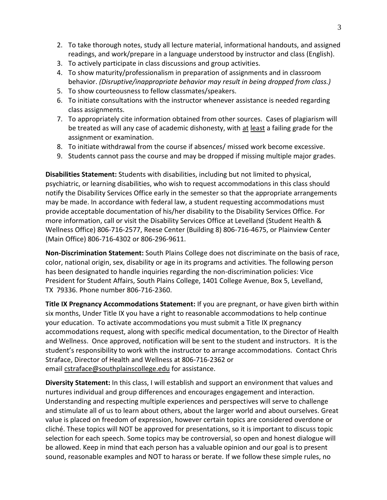- 2. To take thorough notes, study all lecture material, informational handouts, and assigned readings, and work/prepare in a language understood by instructor and class (English).
- 3. To actively participate in class discussions and group activities.
- 4. To show maturity/professionalism in preparation of assignments and in classroom behavior. *(Disruptive/inappropriate behavior may result in being dropped from class.)*
- 5. To show courteousness to fellow classmates/speakers.
- 6. To initiate consultations with the instructor whenever assistance is needed regarding class assignments.
- 7. To appropriately cite information obtained from other sources. Cases of plagiarism will be treated as will any case of academic dishonesty, with at least a failing grade for the assignment or examination.
- 8. To initiate withdrawal from the course if absences/ missed work become excessive.
- 9. Students cannot pass the course and may be dropped if missing multiple major grades.

**Disabilities Statement:** Students with disabilities, including but not limited to physical, psychiatric, or learning disabilities, who wish to request accommodations in this class should notify the Disability Services Office early in the semester so that the appropriate arrangements may be made. In accordance with federal law, a student requesting accommodations must provide acceptable documentation of his/her disability to the Disability Services Office. For more information, call or visit the Disability Services Office at Levelland (Student Health & Wellness Office) 806-716-2577, Reese Center (Building 8) 806-716-4675, or Plainview Center (Main Office) 806-716-4302 or 806-296-9611.

**Non-Discrimination Statement:** South Plains College does not discriminate on the basis of race, color, national origin, sex, disability or age in its programs and activities. The following person has been designated to handle inquiries regarding the non-discrimination policies: Vice President for Student Affairs, South Plains College, 1401 College Avenue, Box 5, Levelland, TX 79336. Phone number 806-716-2360.

**Title IX Pregnancy Accommodations Statement:** If you are pregnant, or have given birth within six months, Under Title IX you have a right to reasonable accommodations to help continue your education. To activate accommodations you must submit a Title IX pregnancy accommodations request, along with specific medical documentation, to the Director of Health and Wellness. Once approved, notification will be sent to the student and instructors. It is the student's responsibility to work with the instructor to arrange accommodations. Contact Chris Straface, Director of Health and Wellness at 806-716-2362 or email [cstraface@southplainscollege.edu](mailto:cstraface@southplainscollege.edu) for assistance.

**Diversity Statement:** In this class, I will establish and support an environment that values and nurtures individual and group differences and encourages engagement and interaction. Understanding and respecting multiple experiences and perspectives will serve to challenge and stimulate all of us to learn about others, about the larger world and about ourselves. Great value is placed on freedom of expression, however certain topics are considered overdone or cliché. These topics will NOT be approved for presentations, so it is important to discuss topic selection for each speech. Some topics may be controversial, so open and honest dialogue will be allowed. Keep in mind that each person has a valuable opinion and our goal is to present sound, reasonable examples and NOT to harass or berate. If we follow these simple rules, no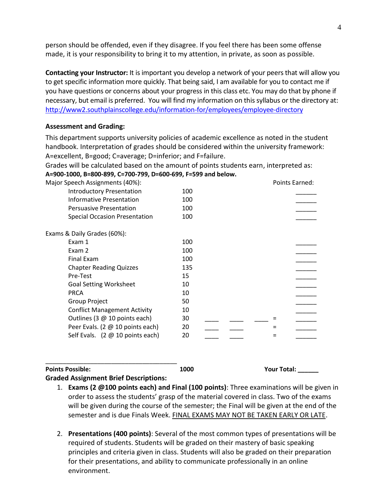person should be offended, even if they disagree. If you feel there has been some offense made, it is your responsibility to bring it to my attention, in private, as soon as possible.

**Contacting your Instructor:** It is important you develop a network of your peers that will allow you to get specific information more quickly. That being said, I am available for you to contact me if you have questions or concerns about your progress in this class etc. You may do that by phone if necessary, but email is preferred. You will find my information on this syllabus or the directory at: <http://www2.southplainscollege.edu/information-for/employees/employee-directory>

#### **Assessment and Grading:**

This department supports university policies of academic excellence as noted in the student handbook. Interpretation of grades should be considered within the university framework: A=excellent, B=good; C=average; D=inferior; and F=failure.

Grades will be calculated based on the amount of points students earn, interpreted as: **A=900-1000, B=800-899, C=700-799, D=600-699, F=599 and below.**

| Major Speech Assignments (40%):                  |     | Points Earned: |
|--------------------------------------------------|-----|----------------|
| <b>Introductory Presentation</b>                 | 100 |                |
| <b>Informative Presentation</b>                  | 100 |                |
| <b>Persuasive Presentation</b>                   | 100 |                |
| <b>Special Occasion Presentation</b>             | 100 |                |
| Exams & Daily Grades (60%):                      |     |                |
| Exam 1                                           | 100 |                |
| Exam 2                                           | 100 |                |
| Final Exam                                       | 100 |                |
| <b>Chapter Reading Quizzes</b>                   | 135 |                |
| Pre-Test                                         | 15  |                |
| <b>Goal Setting Worksheet</b>                    | 10  |                |
| <b>PRCA</b>                                      | 10  |                |
| Group Project                                    | 50  |                |
| <b>Conflict Management Activity</b>              | 10  |                |
| Outlines (3 @ 10 points each)                    | 30  |                |
| Peer Evals. (2 @ 10 points each)                 | 20  |                |
| Self Evals. $(2 \oslash 10 \text{ points each})$ | 20  |                |
|                                                  |     |                |

**Points Possible: 1000 Your Total: \_\_\_\_\_\_**

## **Graded Assignment Brief Descriptions:**

\_\_\_\_\_\_\_\_\_\_\_\_\_\_\_\_\_\_\_\_\_\_\_\_\_\_\_\_\_\_\_\_\_\_\_\_\_\_

- 1. **Exams (2 @100 points each) and Final (100 points)**: Three examinations will be given in order to assess the students' grasp of the material covered in class. Two of the exams will be given during the course of the semester; the Final will be given at the end of the semester and is due Finals Week. FINAL EXAMS MAY NOT BE TAKEN EARLY OR LATE.
- 2. **Presentations (400 points)**: Several of the most common types of presentations will be required of students. Students will be graded on their mastery of basic speaking principles and criteria given in class. Students will also be graded on their preparation for their presentations, and ability to communicate professionally in an online environment.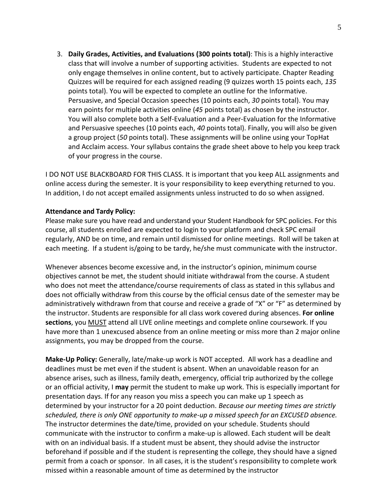3. **Daily Grades, Activities, and Evaluations (300 points total)**: This is a highly interactive class that will involve a number of supporting activities. Students are expected to not only engage themselves in online content, but to actively participate. Chapter Reading Quizzes will be required for each assigned reading (9 quizzes worth 15 points each, *135*  points total). You will be expected to complete an outline for the Informative. Persuasive, and Special Occasion speeches (10 points each, *30* points total). You may earn points for multiple activities online (*45* points total) as chosen by the instructor. You will also complete both a Self-Evaluation and a Peer-Evaluation for the Informative and Persuasive speeches (10 points each, *40* points total). Finally, you will also be given a group project (*50* points total). These assignments will be online using your TopHat and Acclaim access. Your syllabus contains the grade sheet above to help you keep track of your progress in the course.

I DO NOT USE BLACKBOARD FOR THIS CLASS. It is important that you keep ALL assignments and online access during the semester. It is your responsibility to keep everything returned to you. In addition, I do not accept emailed assignments unless instructed to do so when assigned.

#### **Attendance and Tardy Policy:**

Please make sure you have read and understand your Student Handbook for SPC policies. For this course, all students enrolled are expected to login to your platform and check SPC email regularly, AND be on time, and remain until dismissed for online meetings. Roll will be taken at each meeting. If a student is/going to be tardy, he/she must communicate with the instructor.

Whenever absences become excessive and, in the instructor's opinion, minimum course objectives cannot be met, the student should initiate withdrawal from the course. A student who does not meet the attendance/course requirements of class as stated in this syllabus and does not officially withdraw from this course by the official census date of the semester may be administratively withdrawn from that course and receive a grade of "X" or "F" as determined by the instructor. Students are responsible for all class work covered during absences. **For online sections**, you MUST attend all LIVE online meetings and complete online coursework. If you have more than 1 unexcused absence from an online meeting or miss more than 2 major online assignments, you may be dropped from the course.

**Make-Up Policy:** Generally, late/make-up work is NOT accepted. All work has a deadline and deadlines must be met even if the student is absent. When an unavoidable reason for an absence arises, such as illness, family death, emergency, official trip authorized by the college or an official activity, I **may** permit the student to make up work. This is especially important for presentation days. If for any reason you miss a speech you can make up 1 speech as determined by your instructor for a 20 point deduction. *Because our meeting times are strictly scheduled, there is only ONE opportunity to make-up a missed speech for an EXCUSED absence.* The instructor determines the date/time, provided on your schedule. Students should communicate with the instructor to confirm a make-up is allowed. Each student will be dealt with on an individual basis. If a student must be absent, they should advise the instructor beforehand if possible and if the student is representing the college, they should have a signed permit from a coach or sponsor. In all cases, it is the student's responsibility to complete work missed within a reasonable amount of time as determined by the instructor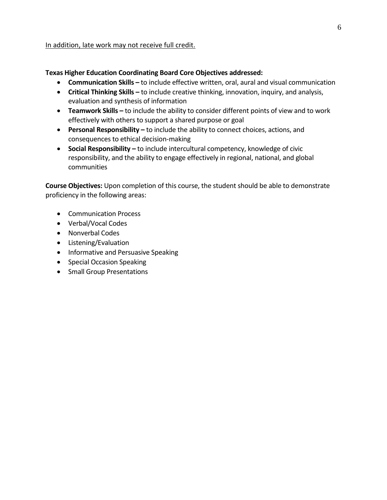In addition, late work may not receive full credit.

# **Texas Higher Education Coordinating Board Core Objectives addressed:**

- **Communication Skills –** to include effective written, oral, aural and visual communication
- **Critical Thinking Skills –** to include creative thinking, innovation, inquiry, and analysis, evaluation and synthesis of information
- **Teamwork Skills –** to include the ability to consider different points of view and to work effectively with others to support a shared purpose or goal
- **Personal Responsibility –** to include the ability to connect choices, actions, and consequences to ethical decision-making
- **Social Responsibility –** to include intercultural competency, knowledge of civic responsibility, and the ability to engage effectively in regional, national, and global communities

**Course Objectives:** Upon completion of this course, the student should be able to demonstrate proficiency in the following areas:

- Communication Process
- Verbal/Vocal Codes
- Nonverbal Codes
- Listening/Evaluation
- Informative and Persuasive Speaking
- Special Occasion Speaking
- Small Group Presentations